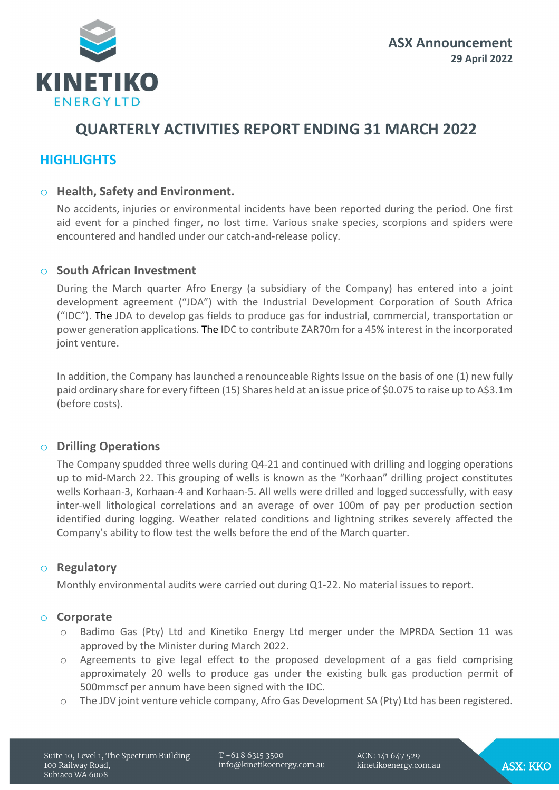

# **QUARTERLY ACTIVITIES REPORT ENDING 31 MARCH 2022**

# **HIGHLIGHTS**

# o **Health, Safety and Environment.**

No accidents, injuries or environmental incidents have been reported during the period. One first aid event for a pinched finger, no lost time. Various snake species, scorpions and spiders were encountered and handled under our catch-and-release policy.

# o **South African Investment**

During the March quarter Afro Energy (a subsidiary of the Company) has entered into a joint development agreement ("JDA") with the Industrial Development Corporation of South Africa ("IDC"). The JDA to develop gas fields to produce gas for industrial, commercial, transportation or power generation applications. The IDC to contribute ZAR70m for a 45% interest in the incorporated joint venture.

In addition, the Company has launched a renounceable Rights Issue on the basis of one (1) new fully paid ordinary share for every fifteen (15) Shares held at an issue price of \$0.075 to raise up to A\$3.1m (before costs).

# o **Drilling Operations**

The Company spudded three wells during Q4-21 and continued with drilling and logging operations up to mid-March 22. This grouping of wells is known as the "Korhaan" drilling project constitutes wells Korhaan-3, Korhaan-4 and Korhaan-5. All wells were drilled and logged successfully, with easy inter-well lithological correlations and an average of over 100m of pay per production section identified during logging. Weather related conditions and lightning strikes severely affected the Company's ability to flow test the wells before the end of the March quarter.

# o **Regulatory**

Monthly environmental audits were carried out during Q1-22. No material issues to report.

# o **Corporate**

- o Badimo Gas (Pty) Ltd and Kinetiko Energy Ltd merger under the MPRDA Section 11 was approved by the Minister during March 2022.
- o Agreements to give legal effect to the proposed development of a gas field comprising approximately 20 wells to produce gas under the existing bulk gas production permit of 500mmscf per annum have been signed with the IDC.
- o The JDV joint venture vehicle company, Afro Gas Development SA (Pty) Ltd has been registered.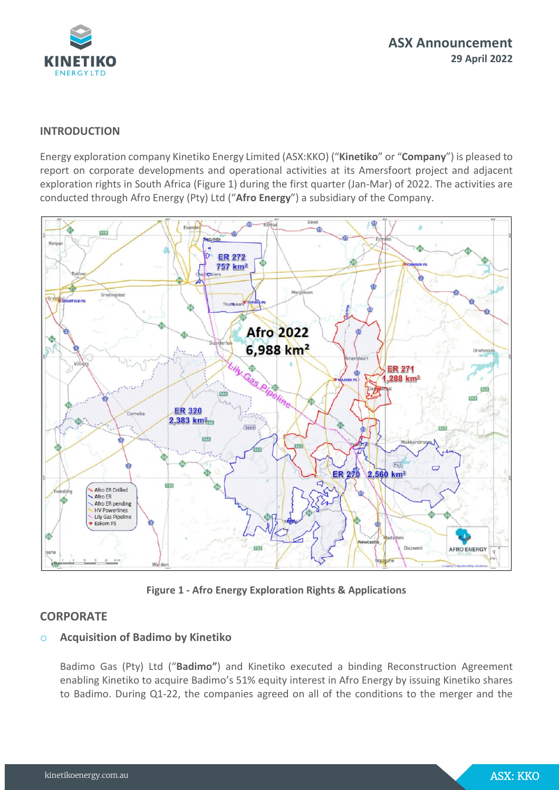

## **INTRODUCTION**

Energy exploration company Kinetiko Energy Limited (ASX:KKO) ("**Kinetiko**" or "**Company**") is pleased to report on corporate developments and operational activities at its Amersfoort project and adjacent exploration rights in South Africa (Figure 1) during the first quarter (Jan-Mar) of 2022. The activities are conducted through Afro Energy (Pty) Ltd ("**Afro Energy**") a subsidiary of the Company.



**Figure 1 - Afro Energy Exploration Rights & Applications**

# **CORPORATE**

# o **Acquisition of Badimo by Kinetiko**

Badimo Gas (Pty) Ltd ("**Badimo"**) and Kinetiko executed a binding Reconstruction Agreement enabling Kinetiko to acquire Badimo's 51% equity interest in Afro Energy by issuing Kinetiko shares to Badimo. During Q1-22, the companies agreed on all of the conditions to the merger and the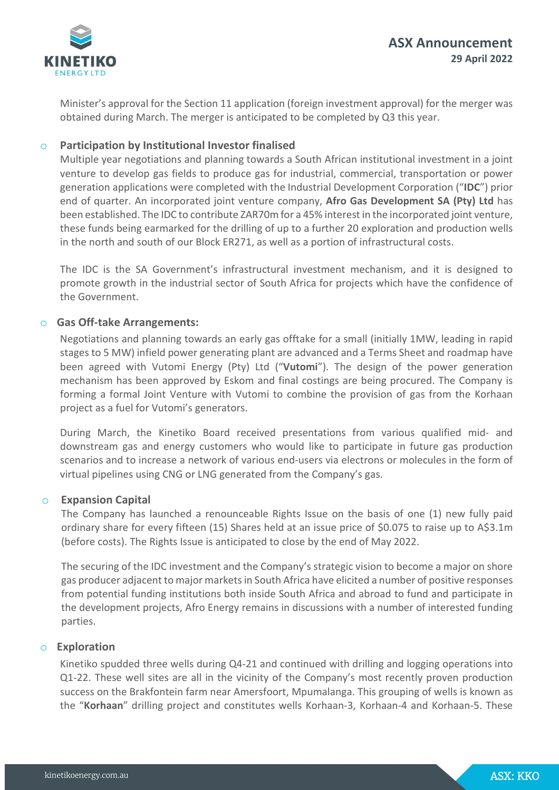

Minister's approval for the Section 11 application (foreign investment approval) for the merger was obtained during March. The merger is anticipated to be completed by Q3 this year.

## o **Participation by Institutional Investor finalised**

Multiple year negotiations and planning towards a South African institutional investment in a joint venture to develop gas fields to produce gas for industrial, commercial, transportation or power generation applications were completed with the Industrial Development Corporation ("**IDC**") prior end of quarter. An incorporated joint venture company, **Afro Gas Development SA (Pty) Ltd** has been established. The IDC to contribute ZAR70m for a 45% interest in the incorporated joint venture, these funds being earmarked for the drilling of up to a further 20 exploration and production wells in the north and south of our Block ER271, as well as a portion of infrastructural costs.

The IDC is the SA Government's infrastructural investment mechanism, and it is designed to promote growth in the industrial sector of South Africa for projects which have the confidence of the Government.

#### o **Gas Off-take Arrangements:**

Negotiations and planning towards an early gas offtake for a small (initially 1MW, leading in rapid stages to 5 MW) infield power generating plant are advanced and a Terms Sheet and roadmap have been agreed with Vutomi Energy (Pty) Ltd ("**Vutomi**"). The design of the power generation mechanism has been approved by Eskom and final costings are being procured. The Company is forming a formal Joint Venture with Vutomi to combine the provision of gas from the Korhaan project as a fuel for Vutomi's generators.

During March, the Kinetiko Board received presentations from various qualified mid- and downstream gas and energy customers who would like to participate in future gas production scenarios and to increase a network of various end-users via electrons or molecules in the form of virtual pipelines using CNG or LNG generated from the Company's gas.

#### o **Expansion Capital**

The Company has launched a renounceable Rights Issue on the basis of one (1) new fully paid ordinary share for every fifteen (15) Shares held at an issue price of \$0.075 to raise up to A\$3.1m (before costs). The Rights Issue is anticipated to close by the end of May 2022.

The securing of the IDC investment and the Company's strategic vision to become a major on shore gas producer adjacent to major markets in South Africa have elicited a number of positive responses from potential funding institutions both inside South Africa and abroad to fund and participate in the development projects, Afro Energy remains in discussions with a number of interested funding parties.

#### o **Exploration**

Kinetiko spudded three wells during Q4-21 and continued with drilling and logging operations into Q1-22. These well sites are all in the vicinity of the Company's most recently proven production success on the Brakfontein farm near Amersfoort, Mpumalanga. This grouping of wells is known as the "**Korhaan**" drilling project and constitutes wells Korhaan-3, Korhaan-4 and Korhaan-5. These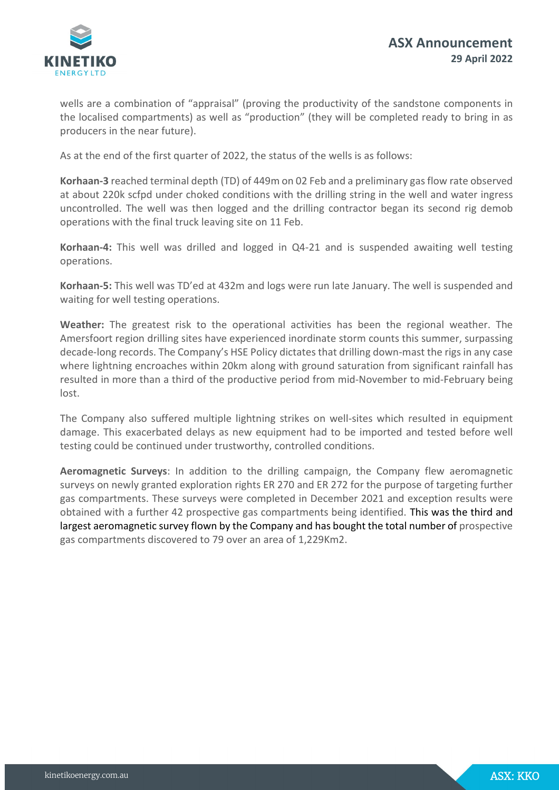

wells are a combination of "appraisal" (proving the productivity of the sandstone components in the localised compartments) as well as "production" (they will be completed ready to bring in as producers in the near future).

As at the end of the first quarter of 2022, the status of the wells is as follows:

**Korhaan-3** reached terminal depth (TD) of 449m on 02 Feb and a preliminary gasflow rate observed at about 220k scfpd under choked conditions with the drilling string in the well and water ingress uncontrolled. The well was then logged and the drilling contractor began its second rig demob operations with the final truck leaving site on 11 Feb.

**Korhaan-4:** This well was drilled and logged in Q4-21 and is suspended awaiting well testing operations.

**Korhaan-5:** This well was TD'ed at 432m and logs were run late January. The well is suspended and waiting for well testing operations.

**Weather:** The greatest risk to the operational activities has been the regional weather. The Amersfoort region drilling sites have experienced inordinate storm counts this summer, surpassing decade-long records. The Company's HSE Policy dictates that drilling down-mast the rigs in any case where lightning encroaches within 20km along with ground saturation from significant rainfall has resulted in more than a third of the productive period from mid-November to mid-February being lost.

The Company also suffered multiple lightning strikes on well-sites which resulted in equipment damage. This exacerbated delays as new equipment had to be imported and tested before well testing could be continued under trustworthy, controlled conditions.

**Aeromagnetic Surveys**: In addition to the drilling campaign, the Company flew aeromagnetic surveys on newly granted exploration rights ER 270 and ER 272 for the purpose of targeting further gas compartments. These surveys were completed in December 2021 and exception results were obtained with a further 42 prospective gas compartments being identified. This was the third and largest aeromagnetic survey flown by the Company and has bought the total number of prospective gas compartments discovered to 79 over an area of 1,229Km2.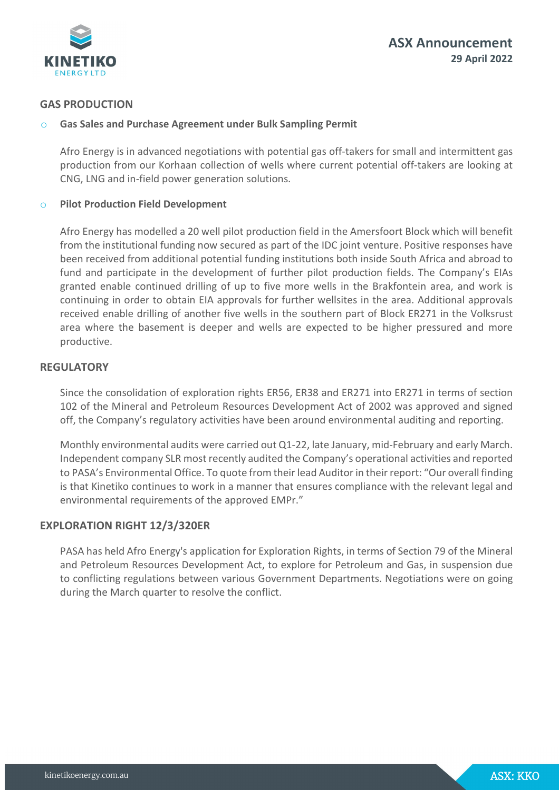

# **GAS PRODUCTION**

### o **Gas Sales and Purchase Agreement under Bulk Sampling Permit**

Afro Energy is in advanced negotiations with potential gas off-takers for small and intermittent gas production from our Korhaan collection of wells where current potential off-takers are looking at CNG, LNG and in-field power generation solutions.

#### o **Pilot Production Field Development**

Afro Energy has modelled a 20 well pilot production field in the Amersfoort Block which will benefit from the institutional funding now secured as part of the IDC joint venture. Positive responses have been received from additional potential funding institutions both inside South Africa and abroad to fund and participate in the development of further pilot production fields. The Company's EIAs granted enable continued drilling of up to five more wells in the Brakfontein area, and work is continuing in order to obtain EIA approvals for further wellsites in the area. Additional approvals received enable drilling of another five wells in the southern part of Block ER271 in the Volksrust area where the basement is deeper and wells are expected to be higher pressured and more productive.

### **REGULATORY**

Since the consolidation of exploration rights ER56, ER38 and ER271 into ER271 in terms of section 102 of the Mineral and Petroleum Resources Development Act of 2002 was approved and signed off, the Company's regulatory activities have been around environmental auditing and reporting.

Monthly environmental audits were carried out Q1-22, late January, mid-February and early March. Independent company SLR most recently audited the Company's operational activities and reported to PASA's Environmental Office. To quote from their lead Auditorin their report: "Our overall finding is that Kinetiko continues to work in a manner that ensures compliance with the relevant legal and environmental requirements of the approved EMPr."

# **EXPLORATION RIGHT 12/3/320ER**

PASA has held Afro Energy's application for Exploration Rights, in terms of Section 79 of the Mineral and Petroleum Resources Development Act, to explore for Petroleum and Gas, in suspension due to conflicting regulations between various Government Departments. Negotiations were on going during the March quarter to resolve the conflict.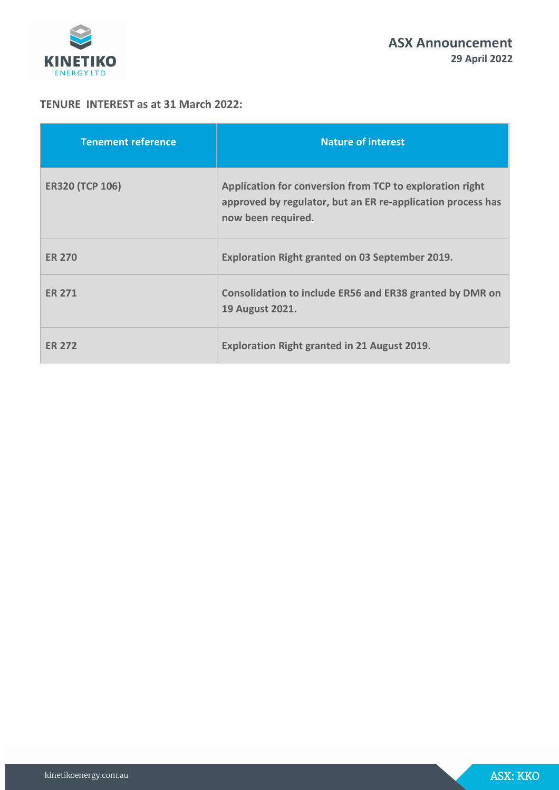

# **TENURE INTEREST as at 31 March 2022:**

| <b>Tenement reference</b> | <b>Nature of interest</b>                                                                                                                     |
|---------------------------|-----------------------------------------------------------------------------------------------------------------------------------------------|
| <b>ER320 (TCP 106)</b>    | Application for conversion from TCP to exploration right<br>approved by regulator, but an ER re-application process has<br>now been required. |
| <b>ER 270</b>             | Exploration Right granted on 03 September 2019.                                                                                               |
| <b>FR 271</b>             | Consolidation to include ER56 and ER38 granted by DMR on<br>19 August 2021.                                                                   |
| <b>ER 272</b>             | Exploration Right granted in 21 August 2019.                                                                                                  |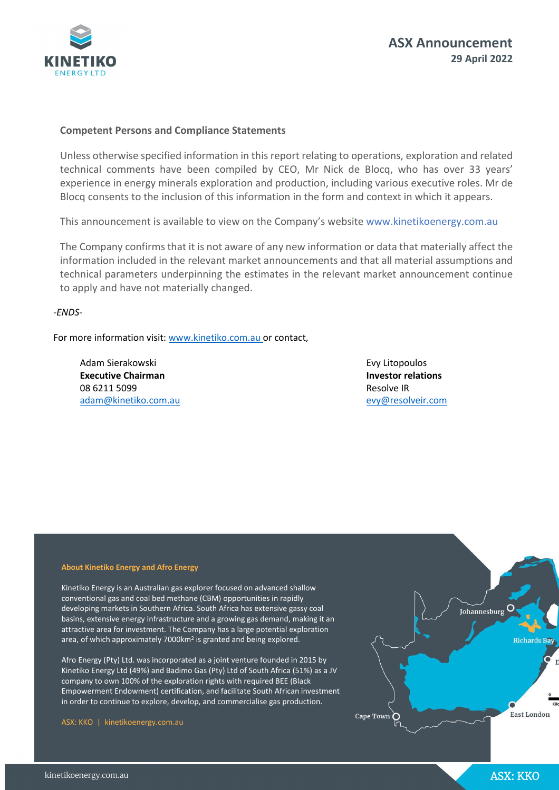

#### **Competent Persons and Compliance Statements**

Unless otherwise specified information in this report relating to operations, exploration and related technical comments have been compiled by CEO, Mr Nick de Blocq, who has over 33 years' experience in energy minerals exploration and production, including various executive roles. Mr de Blocq consents to the inclusion of this information in the form and context in which it appears.

This announcement is available to view on the Company's websit[e www.kinetikoenergy.com.au](http://www.kinetikoenergy.com.au/) 

The Company confirms that it is not aware of any new information or data that materially affect the information included in the relevant market announcements and that all material assumptions and technical parameters underpinning the estimates in the relevant market announcement continue to apply and have not materially changed.

*-ENDS-*

For more information visit: [www.kinetiko.com.au o](http://www.kinetiko.com.au/)r contact,

Adam Sierakowski **Executive Chairman**  08 6211 5099 [adam@kinetiko.com.au](mailto:adam@kinetiko.com.au)  Evy Litopoulos **Investor relations** Resolve IR [evy@resolveir.com](mailto:evy@resolveir.com)

#### **About Kinetiko Energy and Afro Energy**

Kinetiko Energy is an Australian gas explorer focused on advanced shallow conventional gas and coal bed methane (CBM) opportunities in rapidly developing markets in Southern Africa. South Africa has extensive gassy coal basins, extensive energy infrastructure and a growing gas demand, making it an attractive area for investment. The Company has a large potential exploration area, of which approximately 7000km<sup>2</sup> is granted and being explored.

Afro Energy (Pty) Ltd. was incorporated as a joint venture founded in 2015 by Kinetiko Energy Ltd (49%) and Badimo Gas (Pty) Ltd of South Africa (51%) as a JV company to own 100% of the exploration rights with required BEE (Black Empowerment Endowment) certification, and facilitate South African investment in order to continue to explore, develop, and commercialise gas production.

ASX: KKO | kinetikoenergy.com.au

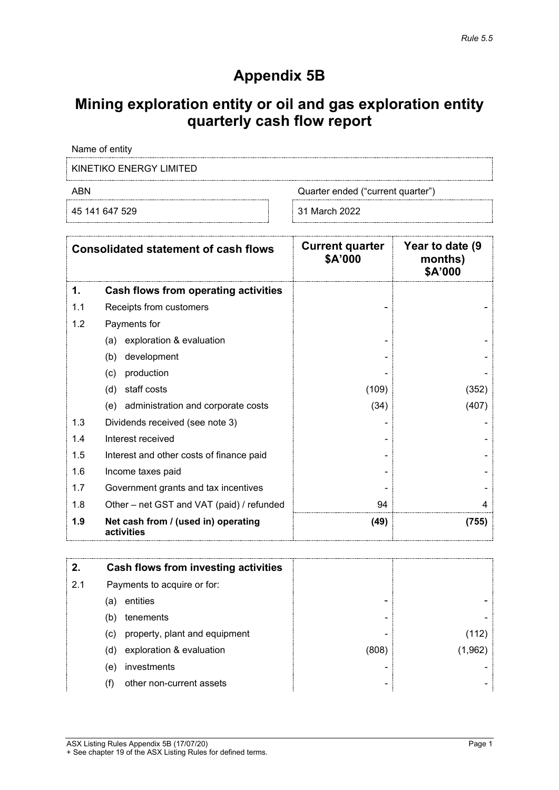# **Appendix 5B**

# **Mining exploration entity or oil and gas exploration entity quarterly cash flow report**

Name of entity

KINETIKO ENERGY LIMITED

45 141 647 529 31 March 2022

ABN Cuarter ended ("current quarter")

| <b>Consolidated statement of cash flows</b> |                                                   | <b>Current quarter</b><br>\$A'000 | Year to date (9)<br>months)<br>\$A'000 |
|---------------------------------------------|---------------------------------------------------|-----------------------------------|----------------------------------------|
| 1.                                          | Cash flows from operating activities              |                                   |                                        |
| 1.1                                         | Receipts from customers                           |                                   |                                        |
| 1.2                                         | Payments for                                      |                                   |                                        |
|                                             | (a) exploration & evaluation                      |                                   |                                        |
|                                             | development<br>(b)                                |                                   |                                        |
|                                             | production<br>(c)                                 |                                   |                                        |
|                                             | staff costs<br>(d)                                | (109)                             | (352)                                  |
|                                             | (e) administration and corporate costs            | (34)                              | (407)                                  |
| 1.3                                         | Dividends received (see note 3)                   |                                   |                                        |
| 1.4                                         | Interest received                                 |                                   |                                        |
| 1.5                                         | Interest and other costs of finance paid          |                                   |                                        |
| 1.6                                         | Income taxes paid                                 |                                   |                                        |
| 1.7                                         | Government grants and tax incentives              |                                   |                                        |
| 1.8                                         | Other – net GST and VAT (paid) / refunded         | 94                                | 4                                      |
| 1.9                                         | Net cash from / (used in) operating<br>activities | (49)                              | (755)                                  |

|     | Cash flows from investing activities |       |  |
|-----|--------------------------------------|-------|--|
| 2.1 | Payments to acquire or for:          |       |  |
|     | entities<br>(a)                      |       |  |
|     | tenements<br>(b)                     | -     |  |
|     | property, plant and equipment<br>(c) |       |  |
|     | exploration & evaluation<br>(d)      | (808) |  |
|     | investments<br>(e)                   | -     |  |
|     | other non-current assets             | -     |  |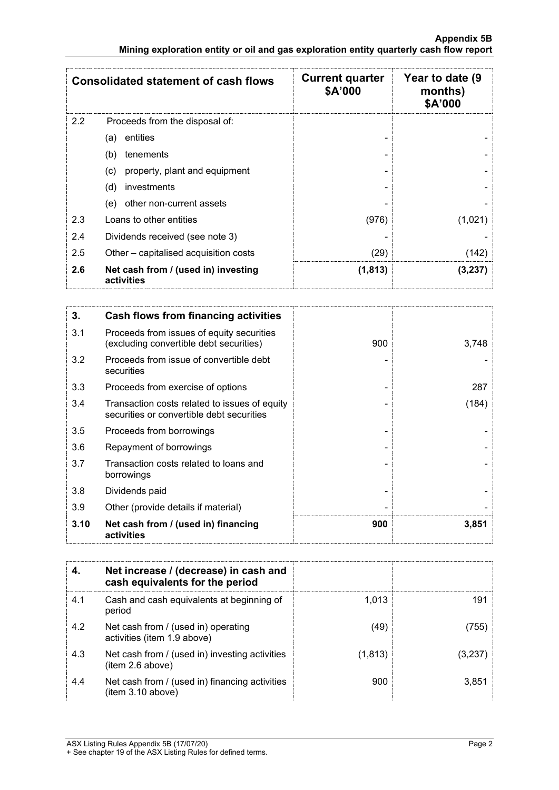| <b>Consolidated statement of cash flows</b> |                                                    | <b>Current quarter</b><br>\$A'000 | Year to date (9<br>months)<br>\$A'000 |
|---------------------------------------------|----------------------------------------------------|-----------------------------------|---------------------------------------|
| 2.2                                         | Proceeds from the disposal of:                     |                                   |                                       |
|                                             | entities<br>(a)                                    |                                   |                                       |
|                                             | tenements<br>(b)                                   |                                   |                                       |
|                                             | property, plant and equipment<br>$\left( c\right)$ |                                   |                                       |
|                                             | (d)<br>investments                                 |                                   |                                       |
|                                             | other non-current assets<br>(e)                    |                                   |                                       |
| 2.3                                         | Loans to other entities                            | (976)                             | (1,021)                               |
| 2.4                                         | Dividends received (see note 3)                    |                                   |                                       |
| 2.5                                         | Other – capitalised acquisition costs              | (29)                              | 142                                   |
| 2.6                                         | Net cash from / (used in) investing<br>activities  | (1, 813)                          | (3,237                                |

| 3.   | Cash flows from financing activities                                                       |     |       |
|------|--------------------------------------------------------------------------------------------|-----|-------|
| 3.1  | Proceeds from issues of equity securities<br>(excluding convertible debt securities)       | 900 | 3,748 |
| 3.2  | Proceeds from issue of convertible debt<br>securities                                      |     |       |
| 3.3  | Proceeds from exercise of options                                                          |     | 287   |
| 3.4  | Transaction costs related to issues of equity<br>securities or convertible debt securities |     | (184) |
| 3.5  | Proceeds from borrowings                                                                   |     |       |
| 3.6  | Repayment of borrowings                                                                    |     |       |
| 3.7  | Transaction costs related to loans and<br>borrowings                                       |     |       |
| 3.8  | Dividends paid                                                                             |     |       |
| 3.9  | Other (provide details if material)                                                        |     |       |
| 3.10 | Net cash from / (used in) financing<br>activities                                          | 900 | 3,851 |

|     | Net increase / (decrease) in cash and<br>cash equivalents for the period |          |       |
|-----|--------------------------------------------------------------------------|----------|-------|
| 4.1 | Cash and cash equivalents at beginning of<br>period                      | 1.013    | 191   |
| 4.2 | Net cash from / (used in) operating<br>activities (item 1.9 above)       | (49)     | 755   |
| 4.3 | Net cash from / (used in) investing activities<br>item 2.6 above)        | (1, 813) |       |
| 4.4 | Net cash from / (used in) financing activities<br>(item 3.10 above)      | 900      | 3.851 |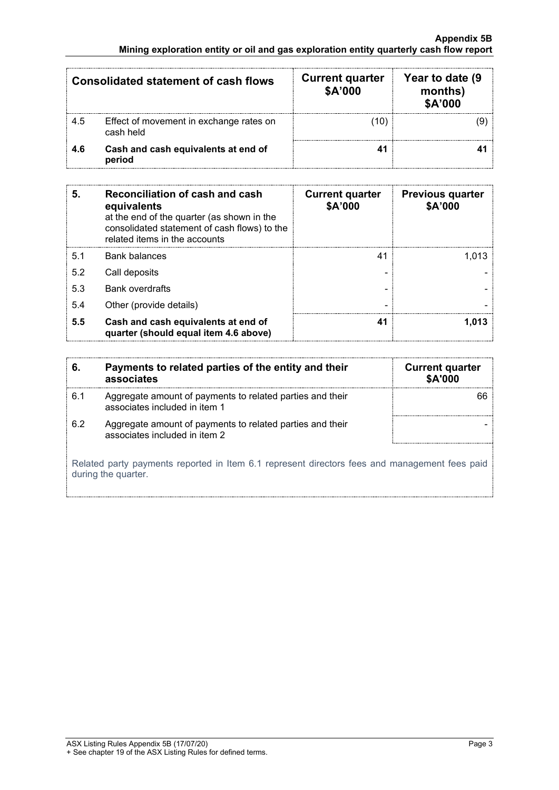| <b>Consolidated statement of cash flows</b> |                                                      | <b>Current quarter</b><br>\$A'000 | Year to date (9)<br>months)<br>\$A'000 |
|---------------------------------------------|------------------------------------------------------|-----------------------------------|----------------------------------------|
| 4.5                                         | Effect of movement in exchange rates on<br>cash held |                                   |                                        |
| 4.6                                         | Cash and cash equivalents at end of<br>period        |                                   |                                        |

| 5.  | Reconciliation of cash and cash<br>equivalents<br>at the end of the quarter (as shown in the<br>consolidated statement of cash flows) to the<br>related items in the accounts | <b>Current quarter</b><br>\$A'000 | <b>Previous quarter</b><br>\$A'000 |
|-----|-------------------------------------------------------------------------------------------------------------------------------------------------------------------------------|-----------------------------------|------------------------------------|
| 5.1 | Bank balances                                                                                                                                                                 | 41                                |                                    |
| 5.2 | Call deposits                                                                                                                                                                 |                                   |                                    |
| 5.3 | <b>Bank overdrafts</b>                                                                                                                                                        |                                   |                                    |
| 5.4 | Other (provide details)                                                                                                                                                       |                                   |                                    |
| 5.5 | Cash and cash equivalents at end of<br>quarter (should equal item 4.6 above)                                                                                                  | 41                                |                                    |

|                                                                                                                      | Payments to related parties of the entity and their<br>associates                          | <b>Current quarter</b><br><b>\$A'000</b> |  |
|----------------------------------------------------------------------------------------------------------------------|--------------------------------------------------------------------------------------------|------------------------------------------|--|
| 6.1                                                                                                                  | Aggregate amount of payments to related parties and their<br>associates included in item 1 |                                          |  |
| 6.2                                                                                                                  | Aggregate amount of payments to related parties and their<br>associates included in item 2 |                                          |  |
| Related party payments reported in Item 6.1 represent directors fees and management fees paid<br>during the quarter. |                                                                                            |                                          |  |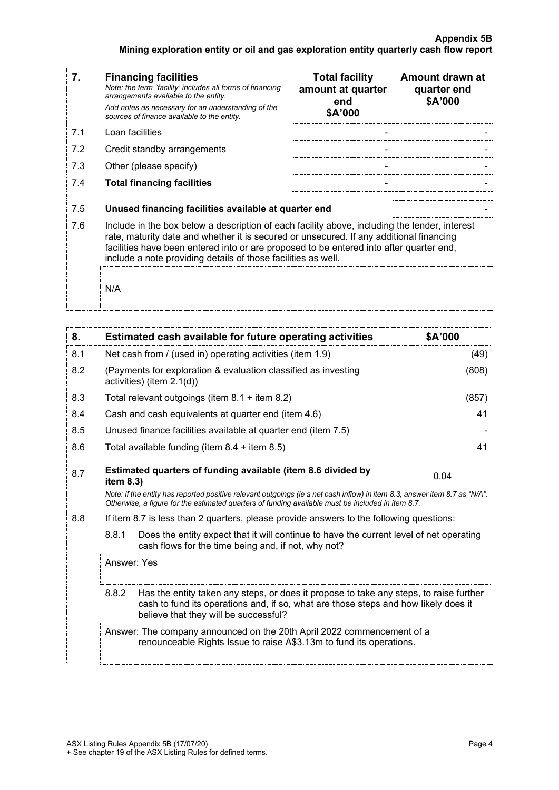#### **Appendix 5B Mining exploration entity or oil and gas exploration entity quarterly cash flow report**

| 7.  | <b>Financing facilities</b><br>Note: the term "facility' includes all forms of financing<br>arrangements available to the entity.<br>Add notes as necessary for an understanding of the<br>sources of finance available to the entity.                                                                                                               | <b>Total facility</b><br>amount at quarter<br>end<br>\$A'000 | Amount drawn at<br>quarter end<br>\$A'000 |
|-----|------------------------------------------------------------------------------------------------------------------------------------------------------------------------------------------------------------------------------------------------------------------------------------------------------------------------------------------------------|--------------------------------------------------------------|-------------------------------------------|
| 7.1 | Loan facilities                                                                                                                                                                                                                                                                                                                                      |                                                              |                                           |
| 7.2 | Credit standby arrangements                                                                                                                                                                                                                                                                                                                          |                                                              |                                           |
| 7.3 | Other (please specify)                                                                                                                                                                                                                                                                                                                               |                                                              |                                           |
| 7.4 | <b>Total financing facilities</b>                                                                                                                                                                                                                                                                                                                    |                                                              |                                           |
|     |                                                                                                                                                                                                                                                                                                                                                      |                                                              |                                           |
| 7.5 | Unused financing facilities available at quarter end                                                                                                                                                                                                                                                                                                 |                                                              |                                           |
| 7.6 | Include in the box below a description of each facility above, including the lender, interest<br>rate, maturity date and whether it is secured or unsecured. If any additional financing<br>facilities have been entered into or are proposed to be entered into after quarter end,<br>include a note providing details of those facilities as well. |                                                              |                                           |
|     | N/A                                                                                                                                                                                                                                                                                                                                                  |                                                              |                                           |

| 8.  |                                                                                                                                                                                                                                 | <b>Estimated cash available for future operating activities</b>                                                                                                                                                                 | \$A'000 |
|-----|---------------------------------------------------------------------------------------------------------------------------------------------------------------------------------------------------------------------------------|---------------------------------------------------------------------------------------------------------------------------------------------------------------------------------------------------------------------------------|---------|
| 8.1 |                                                                                                                                                                                                                                 | Net cash from / (used in) operating activities (item 1.9)                                                                                                                                                                       | (49)    |
| 8.2 |                                                                                                                                                                                                                                 | (Payments for exploration & evaluation classified as investing<br>activities) (item $2.1(d)$ )                                                                                                                                  | (808)   |
| 8.3 |                                                                                                                                                                                                                                 | Total relevant outgoings (item $8.1 +$ item $8.2$ )                                                                                                                                                                             | (857)   |
| 8.4 |                                                                                                                                                                                                                                 | Cash and cash equivalents at quarter end (item 4.6)                                                                                                                                                                             | 41      |
| 8.5 |                                                                                                                                                                                                                                 | Unused finance facilities available at quarter end (item 7.5)                                                                                                                                                                   |         |
| 8.6 |                                                                                                                                                                                                                                 | Total available funding (item $8.4 +$ item $8.5$ )                                                                                                                                                                              | 41      |
| 8.7 | item 8.3)                                                                                                                                                                                                                       | Estimated quarters of funding available (item 8.6 divided by                                                                                                                                                                    | 0.04    |
|     |                                                                                                                                                                                                                                 | Note: if the entity has reported positive relevant outgoings (ie a net cash inflow) in item 8.3, answer item 8.7 as "N/A".<br>Otherwise, a figure for the estimated quarters of funding available must be included in item 8.7. |         |
| 8.8 |                                                                                                                                                                                                                                 | If item 8.7 is less than 2 quarters, please provide answers to the following questions:                                                                                                                                         |         |
|     | 8.8.1<br>Does the entity expect that it will continue to have the current level of net operating<br>cash flows for the time being and, if not, why not?                                                                         |                                                                                                                                                                                                                                 |         |
|     | Answer: Yes                                                                                                                                                                                                                     |                                                                                                                                                                                                                                 |         |
|     | Has the entity taken any steps, or does it propose to take any steps, to raise further<br>8.8.2<br>cash to fund its operations and, if so, what are those steps and how likely does it<br>believe that they will be successful? |                                                                                                                                                                                                                                 |         |
|     |                                                                                                                                                                                                                                 | Answer: The company announced on the 20th April 2022 commencement of a<br>renounceable Rights Issue to raise A\$3.13m to fund its operations.                                                                                   |         |